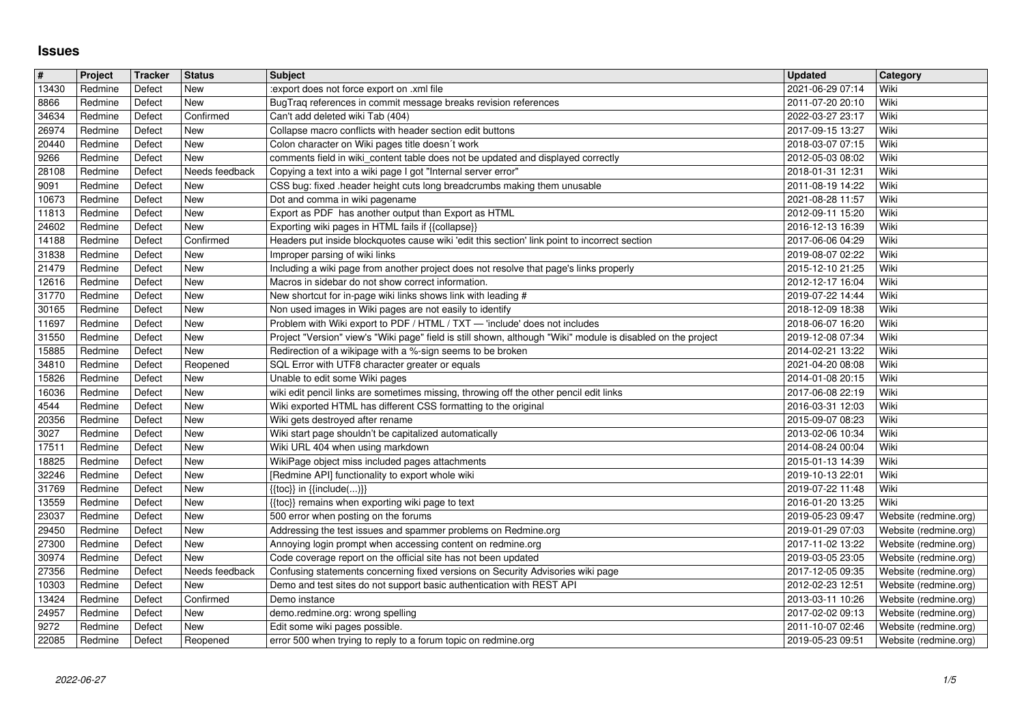## **Issues**

| $\overline{\#}$ | Project            | Tracker          | <b>Status</b>         | <b>Subject</b>                                                                                                                                                                             | <b>Updated</b>                       | <b>Category</b><br>Wiki                        |
|-----------------|--------------------|------------------|-----------------------|--------------------------------------------------------------------------------------------------------------------------------------------------------------------------------------------|--------------------------------------|------------------------------------------------|
| 13430<br>8866   | Redmine<br>Redmine | Defect<br>Defect | New<br>New            | :export does not force export on .xml file<br>BugTraq references in commit message breaks revision references                                                                              | 2021-06-29 07:14<br>2011-07-20 20:10 | Wiki                                           |
| 34634<br>26974  | Redmine<br>Redmine | Defect<br>Defect | Confirmed<br>New      | Can't add deleted wiki Tab (404)<br>Collapse macro conflicts with header section edit buttons                                                                                              | 2022-03-27 23:17<br>2017-09-15 13:27 | Wiki<br>Wiki                                   |
| 20440           | Redmine            | Defect           | New                   | Colon character on Wiki pages title doesn't work                                                                                                                                           | 2018-03-07 07:15                     | Wiki                                           |
| 9266<br>28108   | Redmine<br>Redmine | Defect<br>Defect | New<br>Needs feedback | comments field in wiki_content table does not be updated and displayed correctly<br>Copying a text into a wiki page I got "Internal server error"                                          | 2012-05-03 08:02<br>2018-01-31 12:31 | Wiki<br>Wiki                                   |
| 9091            | Redmine            | Defect           | New                   | CSS bug: fixed .header height cuts long breadcrumbs making them unusable                                                                                                                   | 2011-08-19 14:22                     | Wiki                                           |
| 10673<br>11813  | Redmine<br>Redmine | Defect<br>Defect | New<br>New            | Dot and comma in wiki pagename<br>Export as PDF has another output than Export as HTML                                                                                                     | 2021-08-28 11:57<br>2012-09-11 15:20 | Wiki<br>Wiki                                   |
| 24602           | Redmine            | Defect           | New                   | Exporting wiki pages in HTML fails if {{collapse}}                                                                                                                                         | 2016-12-13 16:39                     | Wiki                                           |
| 14188<br>31838  | Redmine<br>Redmine | Defect<br>Defect | Confirmed<br>New      | Headers put inside blockquotes cause wiki 'edit this section' link point to incorrect section<br>Improper parsing of wiki links                                                            | 2017-06-06 04:29<br>2019-08-07 02:22 | Wiki<br>Wiki                                   |
| 21479           | Redmine            | Defect           | New                   | Including a wiki page from another project does not resolve that page's links properly                                                                                                     | 2015-12-10 21:25                     | Wiki                                           |
| 12616<br>31770  | Redmine<br>Redmine | Defect<br>Defect | New<br>New            | Macros in sidebar do not show correct information.<br>New shortcut for in-page wiki links shows link with leading #                                                                        | 2012-12-17 16:04<br>2019-07-22 14:44 | Wiki<br>Wiki                                   |
| 30165           | Redmine            | Defect           | New                   | Non used images in Wiki pages are not easily to identify                                                                                                                                   | 2018-12-09 18:38                     | Wiki                                           |
| 11697<br>31550  | Redmine<br>Redmine | Defect<br>Defect | New<br>New            | Problem with Wiki export to PDF / HTML / TXT - 'include' does not includes<br>Project "Version" view's "Wiki page" field is still shown, although "Wiki" module is disabled on the project | 2018-06-07 16:20<br>2019-12-08 07:34 | Wiki<br>Wiki                                   |
| 15885           | Redmine            | Defect           | New                   | Redirection of a wikipage with a %-sign seems to be broken                                                                                                                                 | 2014-02-21 13:22                     | Wiki                                           |
| 34810<br>15826  | Redmine<br>Redmine | Defect<br>Defect | Reopened<br>New       | SQL Error with UTF8 character greater or equals<br>Unable to edit some Wiki pages                                                                                                          | 2021-04-20 08:08<br>2014-01-08 20:15 | Wiki<br>Wiki                                   |
| 16036<br>4544   | Redmine<br>Redmine | Defect<br>Defect | New<br>New            | wiki edit pencil links are sometimes missing, throwing off the other pencil edit links<br>Wiki exported HTML has different CSS formatting to the original                                  | 2017-06-08 22:19<br>2016-03-31 12:03 | Wiki<br>Wiki                                   |
| 20356           | Redmine            | Defect           | New                   | Wiki gets destroyed after rename                                                                                                                                                           | 2015-09-07 08:23                     | Wiki                                           |
| 3027<br>17511   | Redmine<br>Redmine | Defect<br>Defect | New<br>New            | Wiki start page shouldn't be capitalized automatically<br>Wiki URL 404 when using markdown                                                                                                 | 2013-02-06 10:34<br>2014-08-24 00:04 | Wiki<br>Wiki                                   |
| 18825           | Redmine            | Defect           | New                   | WikiPage object miss included pages attachments                                                                                                                                            | 2015-01-13 14:39                     | Wiki                                           |
| 32246<br>31769  | Redmine<br>Redmine | Defect<br>Defect | New<br>New            | [Redmine API] functionality to export whole wiki<br>$\{\{\textsf{toc}\}\}\$ in $\{\{\textsf{include}()\}\}$                                                                                | 2019-10-13 22:01<br>2019-07-22 11:48 | Wiki<br>Wiki                                   |
| 13559           | Redmine            | Defect           | New                   | {{toc}} remains when exporting wiki page to text                                                                                                                                           | 2016-01-20 13:25                     | Wiki                                           |
| 23037<br>29450  | Redmine<br>Redmine | Defect<br>Defect | New<br>New            | 500 error when posting on the forums<br>Addressing the test issues and spammer problems on Redmine.org                                                                                     | 2019-05-23 09:47<br>2019-01-29 07:03 | Website (redmine.org)<br>Website (redmine.org) |
| 27300           | Redmine            | Defect           | New                   | Annoying login prompt when accessing content on redmine.org                                                                                                                                | 2017-11-02 13:22                     | Website (redmine.org)                          |
| 30974<br>27356  | Redmine<br>Redmine | Defect<br>Defect | New<br>Needs feedback | Code coverage report on the official site has not been updated<br>Confusing statements concerning fixed versions on Security Advisories wiki page                                          | 2019-03-05 23:05<br>2017-12-05 09:35 | Website (redmine.org)<br>Website (redmine.org) |
| 10303           | Redmine            | Defect           | New                   | Demo and test sites do not support basic authentication with REST API                                                                                                                      | 2012-02-23 12:51                     | Website (redmine.org)                          |
| 13424<br>24957  | Redmine<br>Redmine | Defect<br>Defect | Confirmed<br>New      | Demo instance<br>demo.redmine.org: wrong spelling                                                                                                                                          | 2013-03-11 10:26<br>2017-02-02 09:13 | Website (redmine.org)<br>Website (redmine.org) |
| 9272<br>22085   | Redmine<br>Redmine | Defect<br>Defect | New<br>Reopened       | Edit some wiki pages possible.<br>error 500 when trying to reply to a forum topic on redmine.org                                                                                           | 2011-10-07 02:46<br>2019-05-23 09:51 | Website (redmine.org)<br>Website (redmine.org) |
|                 |                    |                  |                       |                                                                                                                                                                                            |                                      |                                                |
|                 |                    |                  |                       |                                                                                                                                                                                            |                                      |                                                |
|                 |                    |                  |                       |                                                                                                                                                                                            |                                      |                                                |
|                 |                    |                  |                       |                                                                                                                                                                                            |                                      |                                                |
|                 |                    |                  |                       |                                                                                                                                                                                            |                                      |                                                |
|                 |                    |                  |                       |                                                                                                                                                                                            |                                      |                                                |
|                 |                    |                  |                       |                                                                                                                                                                                            |                                      |                                                |
|                 |                    |                  |                       |                                                                                                                                                                                            |                                      |                                                |
|                 |                    |                  |                       |                                                                                                                                                                                            |                                      |                                                |
|                 |                    |                  |                       |                                                                                                                                                                                            |                                      |                                                |
|                 |                    |                  |                       |                                                                                                                                                                                            |                                      |                                                |
|                 |                    |                  |                       |                                                                                                                                                                                            |                                      |                                                |
|                 |                    |                  |                       |                                                                                                                                                                                            |                                      |                                                |
|                 |                    |                  |                       |                                                                                                                                                                                            |                                      |                                                |
|                 |                    |                  |                       |                                                                                                                                                                                            |                                      |                                                |
|                 |                    |                  |                       |                                                                                                                                                                                            |                                      |                                                |
|                 |                    |                  |                       |                                                                                                                                                                                            |                                      |                                                |
|                 |                    |                  |                       |                                                                                                                                                                                            |                                      |                                                |
|                 |                    |                  |                       |                                                                                                                                                                                            |                                      |                                                |
|                 |                    |                  |                       |                                                                                                                                                                                            |                                      |                                                |
|                 |                    |                  |                       |                                                                                                                                                                                            |                                      |                                                |
|                 |                    |                  |                       |                                                                                                                                                                                            |                                      |                                                |
|                 |                    |                  |                       |                                                                                                                                                                                            |                                      |                                                |
|                 |                    |                  |                       |                                                                                                                                                                                            |                                      |                                                |
|                 |                    |                  |                       |                                                                                                                                                                                            |                                      |                                                |
|                 |                    |                  |                       |                                                                                                                                                                                            |                                      |                                                |
|                 |                    |                  |                       |                                                                                                                                                                                            |                                      |                                                |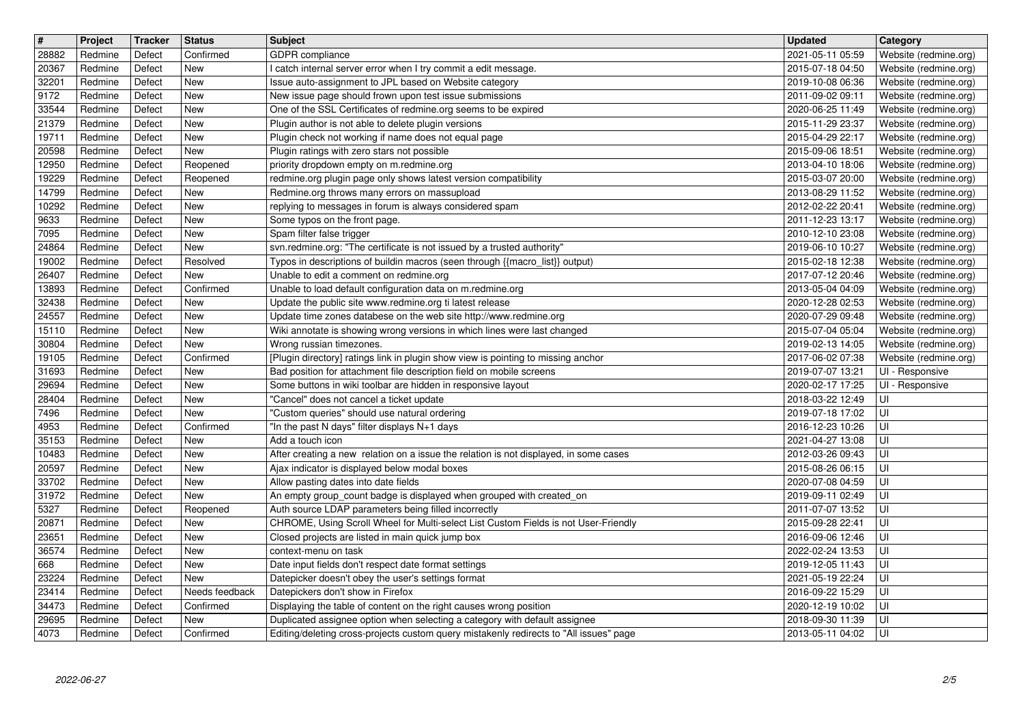| $\overline{\boldsymbol{H}}$ | Project            | Tracker          | <b>Status</b>           | <b>Subject</b>                                                                                                                                   | <b>Updated</b>                       | Category                                       |
|-----------------------------|--------------------|------------------|-------------------------|--------------------------------------------------------------------------------------------------------------------------------------------------|--------------------------------------|------------------------------------------------|
| 28882<br>20367              | Redmine<br>Redmine | Defect<br>Defect | Confirmed<br><b>New</b> | <b>GDPR</b> compliance<br>I catch internal server error when I try commit a edit message.                                                        | 2021-05-11 05:59<br>2015-07-18 04:50 | Website (redmine.org)<br>Website (redmine.org) |
| 32201                       | Redmine            | Defect           | New                     | Issue auto-assignment to JPL based on Website category                                                                                           | 2019-10-08 06:36                     | Website (redmine.org)                          |
| 9172<br>33544               | Redmine<br>Redmine | Defect<br>Defect | New<br>New              | New issue page should frown upon test issue submissions<br>One of the SSL Certificates of redmine.org seems to be expired                        | 2011-09-02 09:11<br>2020-06-25 11:49 | Website (redmine.org)<br>Website (redmine.org) |
| 21379                       | Redmine            | Defect           | New                     | Plugin author is not able to delete plugin versions                                                                                              | 2015-11-29 23:37                     | Website (redmine.org)                          |
| 19711<br>20598              | Redmine<br>Redmine | Defect<br>Defect | New<br>New              | Plugin check not working if name does not equal page<br>Plugin ratings with zero stars not possible                                              | 2015-04-29 22:17<br>2015-09-06 18:51 | Website (redmine.org)<br>Website (redmine.org) |
| 12950                       | Redmine            | Defect           | Reopened                | priority dropdown empty on m.redmine.org                                                                                                         | 2013-04-10 18:06                     | Website (redmine.org)                          |
| 19229<br>14799              | Redmine<br>Redmine | Defect<br>Defect | Reopened<br><b>New</b>  | redmine.org plugin page only shows latest version compatibility<br>Redmine.org throws many errors on massupload                                  | 2015-03-07 20:00<br>2013-08-29 11:52 | Website (redmine.org)<br>Website (redmine.org) |
| 10292                       | Redmine            | Defect           | New                     | replying to messages in forum is always considered spam                                                                                          | 2012-02-22 20:41                     | Website (redmine.org)                          |
| 9633<br>7095                | Redmine<br>Redmine | Defect<br>Defect | New<br>New              | Some typos on the front page.<br>Spam filter false trigger                                                                                       | 2011-12-23 13:17<br>2010-12-10 23:08 | Website (redmine.org)<br>Website (redmine.org) |
| 24864                       | Redmine            | Defect           | New                     | svn.redmine.org: "The certificate is not issued by a trusted authority"                                                                          | 2019-06-10 10:27                     | Website (redmine.org)                          |
| 19002<br>26407              | Redmine<br>Redmine | Defect<br>Defect | Resolved<br>New         | Typos in descriptions of buildin macros (seen through {{macro_list}} output)<br>Unable to edit a comment on redmine.org                          | 2015-02-18 12:38<br>2017-07-12 20:46 | Website (redmine.org)<br>Website (redmine.org) |
| 13893                       | Redmine            | Defect           | Confirmed               | Unable to load default configuration data on m.redmine.org                                                                                       | 2013-05-04 04:09                     | Website (redmine.org)                          |
| 32438<br>24557              | Redmine<br>Redmine | Defect<br>Defect | New<br><b>New</b>       | Update the public site www.redmine.org ti latest release<br>Update time zones databese on the web site http://www.redmine.org                    | 2020-12-28 02:53<br>2020-07-29 09:48 | Website (redmine.org)<br>Website (redmine.org) |
| 15110                       | Redmine            | Defect           | New                     | Wiki annotate is showing wrong versions in which lines were last changed                                                                         | 2015-07-04 05:04                     | Website (redmine.org)                          |
| 30804<br>19105              | Redmine<br>Redmine | Defect<br>Defect | New<br>Confirmed        | Wrong russian timezones.<br>[Plugin directory] ratings link in plugin show view is pointing to missing anchor                                    | 2019-02-13 14:05<br>2017-06-02 07:38 | Website (redmine.org)<br>Website (redmine.org) |
| 31693                       | Redmine            | Defect           | New                     | Bad position for attachment file description field on mobile screens                                                                             | 2019-07-07 13:21                     | UI - Responsive                                |
| 29694                       | Redmine            | Defect           | New                     | Some buttons in wiki toolbar are hidden in responsive layout                                                                                     | 2020-02-17 17:25                     | UI - Responsive<br>UI                          |
| 28404<br>7496               | Redmine<br>Redmine | Defect<br>Defect | New<br>New              | "Cancel" does not cancel a ticket update<br>"Custom queries" should use natural ordering                                                         | 2018-03-22 12:49<br>2019-07-18 17:02 | UI                                             |
| 4953                        | Redmine            | Defect           | Confirmed               | "In the past N days" filter displays N+1 days                                                                                                    | 2016-12-23 10:26                     | UI                                             |
| 35153<br>10483              | Redmine<br>Redmine | Defect<br>Defect | New<br>New              | Add a touch icon<br>After creating a new relation on a issue the relation is not displayed, in some cases                                        | 2021-04-27 13:08<br>2012-03-26 09:43 | UI<br>UI                                       |
| 20597                       | Redmine            | Defect           | New                     | Ajax indicator is displayed below modal boxes                                                                                                    | 2015-08-26 06:15                     | UI                                             |
| 33702<br>31972              | Redmine<br>Redmine | Defect<br>Defect | New<br>New              | Allow pasting dates into date fields<br>An empty group_count badge is displayed when grouped with created_on                                     | 2020-07-08 04:59<br>2019-09-11 02:49 | UI<br>UI                                       |
| 5327                        | Redmine            | Defect           | Reopened                | Auth source LDAP parameters being filled incorrectly                                                                                             | 2011-07-07 13:52                     | UI                                             |
| 20871<br>23651              | Redmine<br>Redmine | Defect<br>Defect | New<br>New              | CHROME, Using Scroll Wheel for Multi-select List Custom Fields is not User-Friendly<br>Closed projects are listed in main quick jump box         | 2015-09-28 22:41<br>2016-09-06 12:46 | UI<br>UI                                       |
| 36574                       | Redmine            | Defect           | New                     | context-menu on task                                                                                                                             | 2022-02-24 13:53                     | UI                                             |
| 668<br>23224                | Redmine<br>Redmine | Defect<br>Defect | New<br>New              | Date input fields don't respect date format settings<br>Datepicker doesn't obey the user's settings format                                       | 2019-12-05 11:43<br>2021-05-19 22:24 | UI<br> U                                       |
| 23414                       | Redmine            | Defect           | Needs feedback          | Datepickers don't show in Firefox                                                                                                                | 2016-09-22 15:29                     | luı                                            |
| 34473<br>29695              | Redmine<br>Redmine | Defect<br>Defect | Confirmed<br>New        | Displaying the table of content on the right causes wrong position<br>Duplicated assignee option when selecting a category with default assignee | 2020-12-19 10:02<br>2018-09-30 11:39 | l UI<br>l UI                                   |
| 4073                        | Redmine            | Defect           | Confirmed               | Editing/deleting cross-projects custom query mistakenly redirects to "All issues" page                                                           | 2013-05-11 04:02                     | l UI                                           |
|                             |                    |                  |                         |                                                                                                                                                  |                                      |                                                |
|                             |                    |                  |                         |                                                                                                                                                  |                                      |                                                |
|                             |                    |                  |                         |                                                                                                                                                  |                                      |                                                |
|                             |                    |                  |                         |                                                                                                                                                  |                                      |                                                |
|                             |                    |                  |                         |                                                                                                                                                  |                                      |                                                |
|                             |                    |                  |                         |                                                                                                                                                  |                                      |                                                |
|                             |                    |                  |                         |                                                                                                                                                  |                                      |                                                |
|                             |                    |                  |                         |                                                                                                                                                  |                                      |                                                |
|                             |                    |                  |                         |                                                                                                                                                  |                                      |                                                |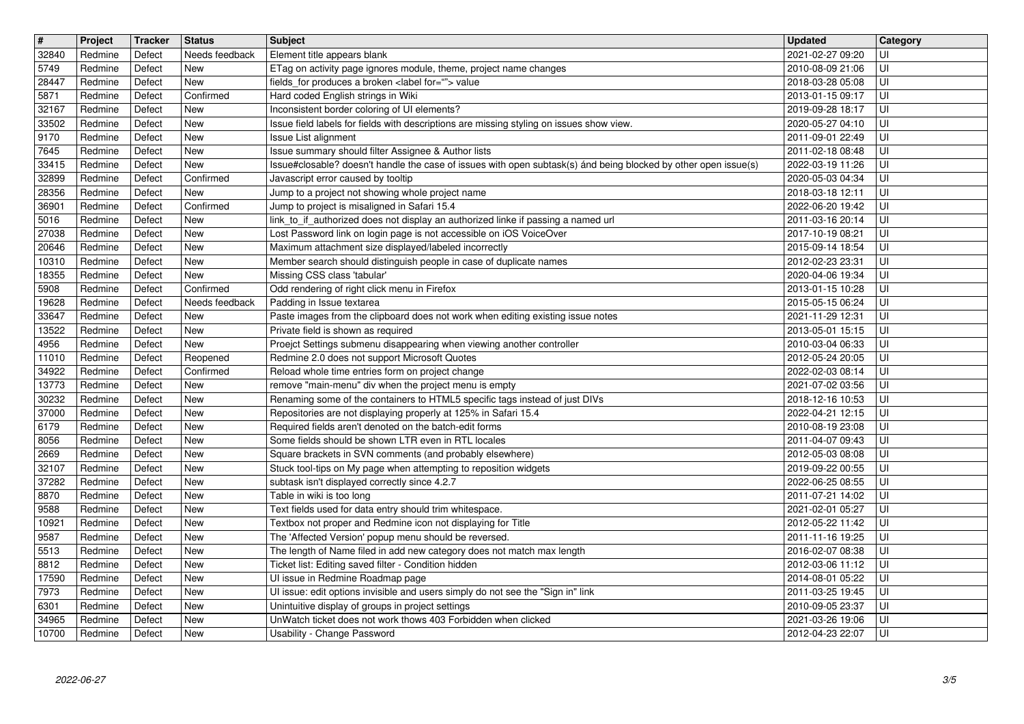| $\overline{\boldsymbol{H}}$ | Project            | Tracker          | <b>Status</b>                | <b>Subject</b>                                                                                                                                                         | <b>Updated</b>                       | Category     |
|-----------------------------|--------------------|------------------|------------------------------|------------------------------------------------------------------------------------------------------------------------------------------------------------------------|--------------------------------------|--------------|
| 32840<br>5749               | Redmine<br>Redmine | Defect<br>Defect | Needs feedback<br><b>New</b> | Element title appears blank<br>ETag on activity page ignores module, theme, project name changes                                                                       | 2021-02-27 09:20<br>2010-08-09 21:06 | UI<br>l UI   |
| 28447                       | Redmine            | Defect           | <b>New</b>                   | fields_for produces a broken <label for=""> value</label>                                                                                                              | 2018-03-28 05:08                     | l UI         |
| 5871                        | Redmine            | Defect           | Confirmed                    | Hard coded English strings in Wiki                                                                                                                                     | 2013-01-15 09:17                     | UI           |
| 32167<br>33502              | Redmine<br>Redmine | Defect<br>Defect | <b>New</b><br><b>New</b>     | Inconsistent border coloring of UI elements?<br>Issue field labels for fields with descriptions are missing styling on issues show view.                               | 2019-09-28 18:17<br>2020-05-27 04:10 | UI<br>l UI   |
| 9170                        | Redmine            | Defect           | <b>New</b>                   | Issue List alignment                                                                                                                                                   | 2011-09-01 22:49                     | ΙUΙ          |
| 7645<br>33415               | Redmine<br>Redmine | Defect<br>Defect | <b>New</b><br><b>New</b>     | Issue summary should filter Assignee & Author lists<br>Issue#closable? doesn't handle the case of issues with open subtask(s) ánd being blocked by other open issue(s) | 2011-02-18 08:48<br>2022-03-19 11:26 | Ul<br>UI     |
| 32899                       | Redmine            | Defect           | Confirmed                    | Javascript error caused by tooltip                                                                                                                                     | 2020-05-03 04:34                     | UI           |
| 28356<br>36901              | Redmine<br>Redmine | Defect<br>Defect | <b>New</b><br>Confirmed      | Jump to a project not showing whole project name<br>Jump to project is misaligned in Safari 15.4                                                                       | 2018-03-18 12:11<br>2022-06-20 19:42 | UI<br>UI     |
| 5016                        | Redmine            | Defect           | <b>New</b>                   | link_to_if_authorized does not display an authorized linke if passing a named url                                                                                      | 2011-03-16 20:14                     | U            |
| 27038<br>20646              | Redmine<br>Redmine | Defect<br>Defect | <b>New</b><br><b>New</b>     | Lost Password link on login page is not accessible on iOS VoiceOver<br>Maximum attachment size displayed/labeled incorrectly                                           | 2017-10-19 08:21<br>2015-09-14 18:54 | l Ul<br>l Ul |
| 10310                       | Redmine            | Defect           | <b>New</b>                   | Member search should distinguish people in case of duplicate names                                                                                                     | 2012-02-23 23:31                     | l Ul         |
| 18355<br>5908               | Redmine<br>Redmine | Defect<br>Defect | <b>New</b><br>Confirmed      | Missing CSS class 'tabular'<br>Odd rendering of right click menu in Firefox                                                                                            | 2020-04-06 19:34<br>2013-01-15 10:28 | UI<br>UI     |
| 19628                       | Redmine            | Defect           | Needs feedback               | Padding in Issue textarea                                                                                                                                              | 2015-05-15 06:24                     | UI           |
| 33647<br>13522              | Redmine<br>Redmine | Defect<br>Defect | <b>New</b><br><b>New</b>     | Paste images from the clipboard does not work when editing existing issue notes<br>Private field is shown as required                                                  | 2021-11-29 12:31<br>2013-05-01 15:15 | UI<br>UI     |
| 4956                        | Redmine            | Defect           | <b>New</b>                   | Proejct Settings submenu disappearing when viewing another controller                                                                                                  | 2010-03-04 06:33                     | IJ           |
| 11010<br>34922              | Redmine<br>Redmine | Defect<br>Defect | Reopened<br>Confirmed        | Redmine 2.0 does not support Microsoft Quotes<br>Reload whole time entries form on project change                                                                      | 2012-05-24 20:05<br>2022-02-03 08:14 | l Ul<br>UI   |
| 13773                       | Redmine            | Defect           | <b>New</b>                   | remove "main-menu" div when the project menu is empty                                                                                                                  | 2021-07-02 03:56                     | ΙUΙ          |
| 30232                       | Redmine            | Defect           | <b>New</b>                   | Renaming some of the containers to HTML5 specific tags instead of just DIVs                                                                                            | 2018-12-16 10:53                     | UI           |
| 37000<br>6179               | Redmine<br>Redmine | Defect<br>Defect | <b>New</b><br><b>New</b>     | Repositories are not displaying properly at 125% in Safari 15.4<br>Required fields aren't denoted on the batch-edit forms                                              | 2022-04-21 12:15<br>2010-08-19 23:08 | l Ul<br>UI   |
| 8056                        | Redmine            | Defect           | <b>New</b>                   | Some fields should be shown LTR even in RTL locales                                                                                                                    | 2011-04-07 09:43                     | UI           |
| 2669<br>32107               | Redmine<br>Redmine | Defect<br>Defect | <b>New</b><br><b>New</b>     | Square brackets in SVN comments (and probably elsewhere)<br>Stuck tool-tips on My page when attempting to reposition widgets                                           | 2012-05-03 08:08<br>2019-09-22 00:55 | UI<br>U      |
| 37282                       | Redmine            | Defect           | <b>New</b>                   | subtask isn't displayed correctly since 4.2.7                                                                                                                          | 2022-06-25 08:55                     | luı          |
| 8870<br>9588                | Redmine<br>Redmine | Defect<br>Defect | <b>New</b><br>New            | Table in wiki is too long<br>Text fields used for data entry should trim whitespace.                                                                                   | 2011-07-21 14:02<br>2021-02-01 05:27 | l Ul<br>luı  |
| 10921                       | Redmine            | Defect           | New                          | Textbox not proper and Redmine icon not displaying for Title                                                                                                           | 2012-05-22 11:42                     | l Ul         |
| 9587<br>5513                | Redmine<br>Redmine | Defect<br>Defect | New<br><b>New</b>            | The 'Affected Version' popup menu should be reversed.<br>The length of Name filed in add new category does not match max length                                        | 2011-11-16 19:25<br>2016-02-07 08:38 | l Ul<br>ΙUΙ  |
| 8812                        | Redmine            | Defect           | <b>New</b>                   | Ticket list: Editing saved filter - Condition hidden                                                                                                                   | 2012-03-06 11:12                     | l UI         |
| 17590<br>7973               | Redmine<br>Redmine | Defect<br>Defect | New<br>New                   | Ul issue in Redmine Roadmap page<br>UI issue: edit options invisible and users simply do not see the "Sign in" link                                                    | 2014-08-01 05:22<br>2011-03-25 19:45 | U <br>lui    |
| 6301                        | Redmine            | Defect           | New                          | Unintuitive display of groups in project settings                                                                                                                      | 2010-09-05 23:37                     | l UI         |
| 34965<br>10700              | Redmine<br>Redmine | Defect<br>Defect | <b>New</b><br><b>New</b>     | UnWatch ticket does not work thows 403 Forbidden when clicked<br>Usability - Change Password                                                                           | 2021-03-26 19:06<br>2012-04-23 22:07 | l UI<br>l UI |
|                             |                    |                  |                              |                                                                                                                                                                        |                                      |              |
|                             |                    |                  |                              |                                                                                                                                                                        |                                      |              |
|                             |                    |                  |                              |                                                                                                                                                                        |                                      |              |
|                             |                    |                  |                              |                                                                                                                                                                        |                                      |              |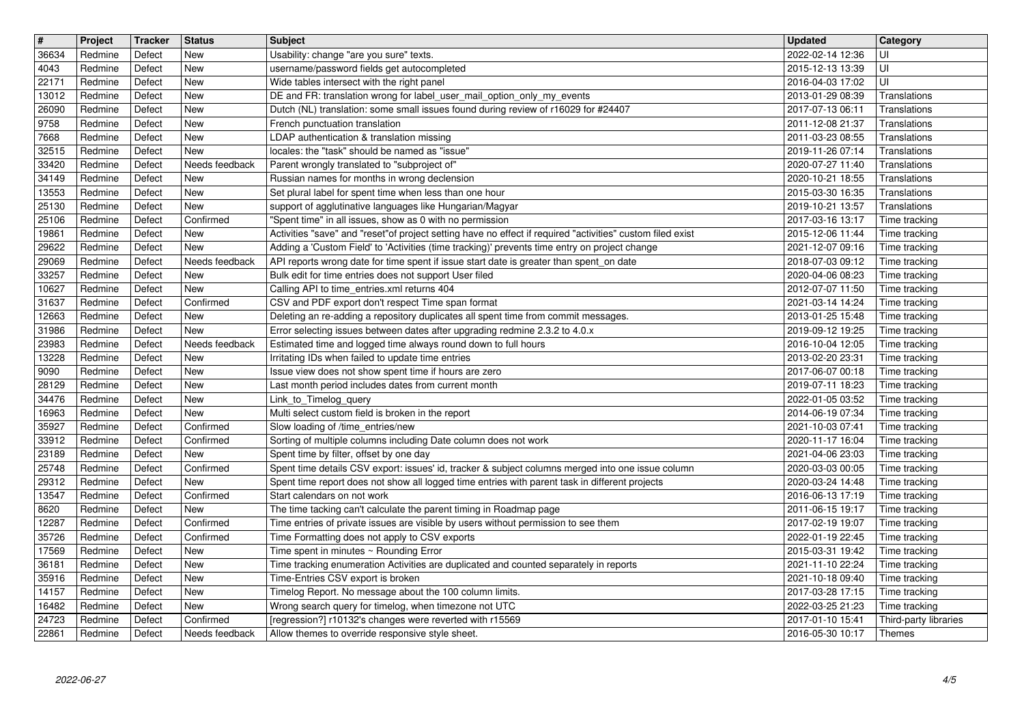| $\overline{\mathbf{H}}$ | Project            | Tracker          | <b>Status</b>               | Subject                                                                                                                                                                                             | <b>Updated</b>                       | <b>Category</b>                 |
|-------------------------|--------------------|------------------|-----------------------------|-----------------------------------------------------------------------------------------------------------------------------------------------------------------------------------------------------|--------------------------------------|---------------------------------|
| 36634<br>4043           | Redmine<br>Redmine | Defect<br>Defect | New<br><b>New</b>           | Usability: change "are you sure" texts.<br>username/password fields get autocompleted                                                                                                               | 2022-02-14 12:36<br>2015-12-13 13:39 | UI                              |
| 22171                   | Redmine            | Defect           | New                         | Wide tables intersect with the right panel                                                                                                                                                          | 2016-04-03 17:02                     | UI                              |
| 13012                   | Redmine            | Defect           | New                         | DE and FR: translation wrong for label user mail option only my events                                                                                                                              | 2013-01-29 08:39                     | Translations                    |
| 26090<br>9758           | Redmine<br>Redmine | Defect<br>Defect | New<br>New                  | Dutch (NL) translation: some small issues found during review of r16029 for #24407<br>French punctuation translation                                                                                | 2017-07-13 06:11<br>2011-12-08 21:37 | Translations<br>Translations    |
| 7668                    | Redmine            | Defect           | New                         | LDAP authentication & translation missing                                                                                                                                                           | 2011-03-23 08:55                     | Translations                    |
| 32515<br>33420          | Redmine<br>Redmine | Defect<br>Defect | New<br>Needs feedback       | locales: the "task" should be named as "issue"<br>Parent wrongly translated to "subproject of"                                                                                                      | 2019-11-26 07:14<br>2020-07-27 11:40 | Translations<br>Translations    |
| 34149                   | Redmine            | Defect           | New                         | Russian names for months in wrong declension                                                                                                                                                        | 2020-10-21 18:55                     | Translations                    |
| 13553                   | Redmine            | Defect           | <b>New</b>                  | Set plural label for spent time when less than one hour                                                                                                                                             | 2015-03-30 16:35                     | Translations                    |
| 25130<br>25106          | Redmine<br>Redmine | Defect<br>Defect | New<br>Confirmed            | support of agglutinative languages like Hungarian/Magyar<br>"Spent time" in all issues, show as 0 with no permission                                                                                | 2019-10-21 13:57<br>2017-03-16 13:17 | Translations<br>Time tracking   |
| 19861                   | Redmine            | Defect           | <b>New</b>                  | Activities "save" and "reset"of project setting have no effect if required "activities" custom filed exist                                                                                          | 2015-12-06 11:44                     | Time tracking                   |
| 29622                   | Redmine            | Defect           | New                         | Adding a 'Custom Field' to 'Activities (time tracking)' prevents time entry on project change                                                                                                       | 2021-12-07 09:16                     | Time tracking                   |
| 29069<br>33257          | Redmine<br>Redmine | Defect<br>Defect | Needs feedback<br>New       | API reports wrong date for time spent if issue start date is greater than spent_on date<br>Bulk edit for time entries does not support User filed                                                   | 2018-07-03 09:12<br>2020-04-06 08:23 | Time tracking<br>Time tracking  |
| 10627                   | Redmine            | Defect           | <b>New</b>                  | Calling API to time_entries.xml returns 404                                                                                                                                                         | 2012-07-07 11:50                     | Time tracking                   |
| 31637                   | Redmine            | Defect           | Confirmed                   | CSV and PDF export don't respect Time span format                                                                                                                                                   | 2021-03-14 14:24                     | Time tracking                   |
| 12663<br>31986          | Redmine<br>Redmine | Defect<br>Defect | New<br><b>New</b>           | Deleting an re-adding a repository duplicates all spent time from commit messages.<br>Error selecting issues between dates after upgrading redmine 2.3.2 to 4.0.x                                   | 2013-01-25 15:48<br>2019-09-12 19:25 | Time tracking<br>Time tracking  |
| 23983                   | Redmine            | Defect           | Needs feedback              | Estimated time and logged time always round down to full hours                                                                                                                                      | 2016-10-04 12:05                     | Time tracking                   |
| 13228<br>9090           | Redmine<br>Redmine | Defect<br>Defect | <b>New</b><br><b>New</b>    | Irritating IDs when failed to update time entries<br>Issue view does not show spent time if hours are zero                                                                                          | 2013-02-20 23:31<br>2017-06-07 00:18 | Time tracking<br>Time tracking  |
| 28129                   | Redmine            | Defect           | New                         | Last month period includes dates from current month                                                                                                                                                 | 2019-07-11 18:23                     | Time tracking                   |
| 34476                   | Redmine            | Defect           | New                         | Link_to_Timelog_query                                                                                                                                                                               | 2022-01-05 03:52                     | Time tracking                   |
| 16963<br>35927          | Redmine<br>Redmine | Defect<br>Defect | New<br>Confirmed            | Multi select custom field is broken in the report<br>Slow loading of /time_entries/new                                                                                                              | 2014-06-19 07:34<br>2021-10-03 07:41 | Time tracking<br>Time tracking  |
| 33912                   | Redmine            | Defect           | Confirmed                   | Sorting of multiple columns including Date column does not work                                                                                                                                     | 2020-11-17 16:04                     | Time tracking                   |
| 23189<br>25748          | Redmine            | Defect           | New                         | Spent time by filter, offset by one day                                                                                                                                                             | 2021-04-06 23:03                     | Time tracking                   |
| 29312                   | Redmine<br>Redmine | Defect<br>Defect | Confirmed<br>New            | Spent time details CSV export: issues' id, tracker & subject columns merged into one issue column<br>Spent time report does not show all logged time entries with parent task in different projects | 2020-03-03 00:05<br>2020-03-24 14:48 | Time tracking<br>Time tracking  |
| 13547                   | Redmine            | Defect           | Confirmed                   | Start calendars on not work                                                                                                                                                                         | 2016-06-13 17:19                     | Time tracking                   |
| 8620<br>12287           | Redmine<br>Redmine | Defect<br>Defect | <b>New</b><br>Confirmed     | The time tacking can't calculate the parent timing in Roadmap page<br>Time entries of private issues are visible by users without permission to see them                                            | 2011-06-15 19:17<br>2017-02-19 19:07 | Time tracking<br>Time tracking  |
| 35726                   | Redmine            | Defect           | Confirmed                   | Time Formatting does not apply to CSV exports                                                                                                                                                       | 2022-01-19 22:45                     | Time tracking                   |
| 17569                   | Redmine            | Defect           | New                         | Time spent in minutes ~ Rounding Error                                                                                                                                                              | 2015-03-31 19:42                     | Time tracking                   |
| 36181<br>35916          | Redmine<br>Redmine | Defect<br>Defect | New<br>New                  | Time tracking enumeration Activities are duplicated and counted separately in reports<br>Time-Entries CSV export is broken                                                                          | 2021-11-10 22:24<br>2021-10-18 09:40 | Time tracking<br>Time tracking  |
| 14157                   | Redmine            | Defect           | <b>New</b>                  | Timelog Report. No message about the 100 column limits.                                                                                                                                             | 2017-03-28 17:15                     | Time tracking                   |
| 16482                   | Redmine            | Defect           | New                         | Wrong search query for timelog, when timezone not UTC                                                                                                                                               | 2022-03-25 21:23                     | Time tracking                   |
| 24723<br>22861          | Redmine<br>Redmine | Defect<br>Defect | Confirmed<br>Needs feedback | [regression?] r10132's changes were reverted with r15569<br>Allow themes to override responsive style sheet.                                                                                        | 2017-01-10 15:41<br>2016-05-30 10:17 | Third-party libraries<br>Themes |
|                         |                    |                  |                             |                                                                                                                                                                                                     |                                      |                                 |
|                         |                    |                  |                             |                                                                                                                                                                                                     |                                      |                                 |
|                         |                    |                  |                             |                                                                                                                                                                                                     |                                      |                                 |
|                         |                    |                  |                             |                                                                                                                                                                                                     |                                      |                                 |
|                         |                    |                  |                             |                                                                                                                                                                                                     |                                      |                                 |
|                         |                    |                  |                             |                                                                                                                                                                                                     |                                      |                                 |
|                         |                    |                  |                             |                                                                                                                                                                                                     |                                      |                                 |
|                         |                    |                  |                             |                                                                                                                                                                                                     |                                      |                                 |